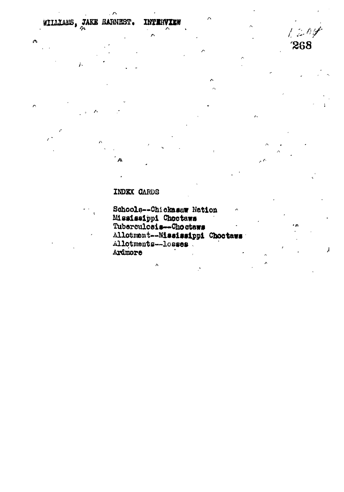## WILLIAMS, JAKE EARNEST. INTERVIEW

 $\tilde{r}$ 

 $\triangle$ 

 $\hat{c}$ 

 $1204$ 268

Å

## INDEX CARDS

Schools--Chickasaw Nation Mississippi Choctaws<br>Tuberculosis-Choctaws Allotmont--Mississippi Choctaws Allotments--losses Ardmore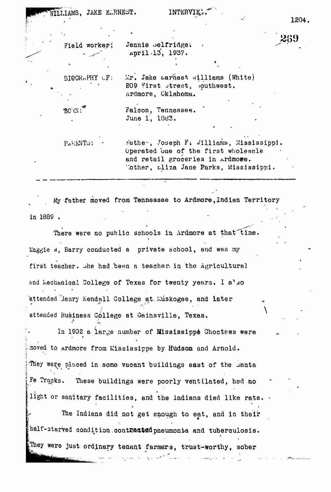| WILLIAMS, JAKE ELRNEST. |  |  |  |
|-------------------------|--|--|--|
|-------------------------|--|--|--|

1204,

**2(59**

**\**

| Field worker; | Jennie belfridge.<br>April 13, 1937.                                                                                                                         |
|---------------|--------------------------------------------------------------------------------------------------------------------------------------------------------------|
|               |                                                                                                                                                              |
| BIOCRAPHY CF: | Mr. Jake Larnest Williams (White)<br>209 First street, southwest.<br>Ardmore, Cklahoma.                                                                      |
| <b>BOW:</b>   | Falcon, Tennessee.<br>June 1, 1883.                                                                                                                          |
|               |                                                                                                                                                              |
| PARENTS:      | rathe . Joseph F: Williams, Mississippi<br>Operated one of the first wholesale<br>and retail groceries in Ardmowe.<br>Cother, aliza Jane Parks, Mississippi. |

My father moved from Tennessee to Ardmore,Indian Territory in 1689 .

There were no public schools in Ardmore at that time. Maggie a, Barry conducted a private school, and was my first teacher, ohe had /been a teacher, in the Agricultural and Mechanical College of Texas for twenty years. I a'so attended lenry Kendall College at. Muskogee, and later *t i* attended Bušiness College at Gainsville, Texas.

In 1902 a large number of Mississippe Choctews were moved to ardmore from Mississippe by Hudson and Arnold. They were placed in some vacant buildings east of the Santa Fe Tracks. These buildings were poorly ventilated, had no light or sanitary facilities, and the indians died like rats.

The Indians did not get enough to eat, and in their half-starved condition contnatted pneumonia and tuberculosis. They were just ordinary tenant farmers, trust-worthy, sober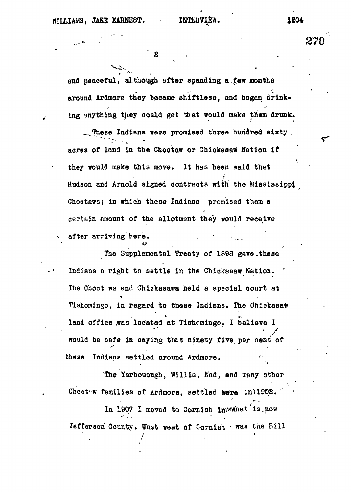**and peaceful, although after spending a ,few montha around Ardmore they became shiftless, and began drink-** . ing anything they could get that would make them drunk.

These Indians were promised three hundred sixty **acres of land in the Choctaw or Shiokaaa# Nation if they would make this move. It has been aaid that Hudson and Arnold signed contracts with' the Mississippi Choataws; in which these Indians promised them a certain amount of the allotment they would receive** after arriving here.

The Supplemental Treaty of 1898 gave.these Indians a right to settle in the Chickasaw Nation. The Choct ws and Chickasawa held a special court at Tishomingo, in regard to these Indians. The Chickasaw land office was located at Tishomingo. I believe I **land office 4was located at Tishomingo. I believe I at** of  $\mathbf{r}^* = \mathbf{r}^*$  **be saf** $\mathbf{r}^* = \mathbf{r}^*$  in satisfact per cent of  $\mathbf{r}^*$ these Indians settled around Ardmore.

'The Yarbouough, Willis, Ned, end many other Chootew families of Ardmore, settled here inl1902.

In 1907 I moved to Cornish im wwhat is now Jefferson County. Uust west of Cornish  $\cdot$  was the Bill 271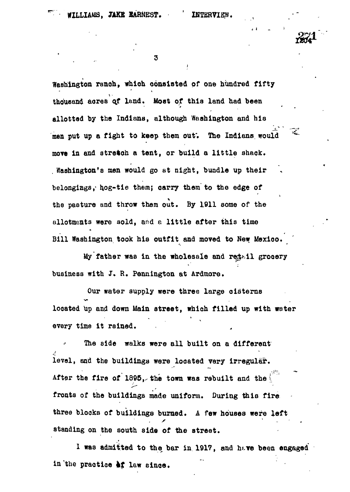3

**Washington ranoh, which consisted of one hundred fifty thousand acres ojf land. Most of thia land had been allotted by the Indiana, although Washington and hia** men put up a fight to keep them out. The Indians would **move in and stretch a tent, or build a little shack. . Washington's men would go at night, bundle up their belongings,- hog-tie them; carry them to the edge of the pasture and throw them out. By 1911 some of the allotments were sold, and a little after this time Bill Washington took his outfit and moved to Hew Mexico.**

**My father was in the wholesale and re^il grocery business with J. R. Pennington at Ardmore.**

**Our water supply were three large cisterns located up and down Main street, which filled up with water every time it rained.**

**The side walks were all built on a different level, and the buildinga were located very irregular.** After the fire of 1895, the town was rebuilt and the **fronts of the buildings made uniform. During this fire three blocks of buildings burned. A few houses were left standing on the south side of the street.**

**1 was admitted to the bar in 1917, and htve been engaged in the practice kf law since.**